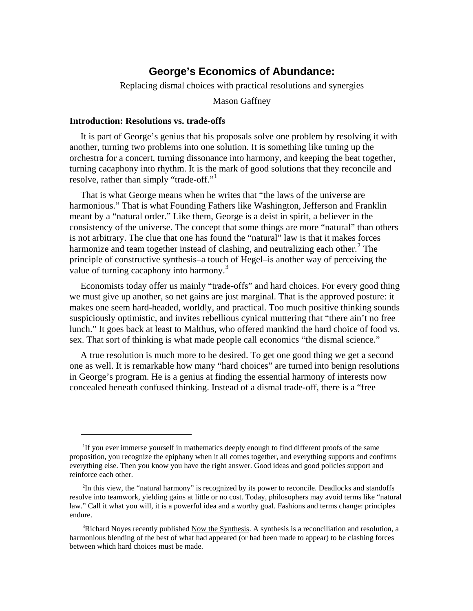# **George's Economics of Abundance:**

Replacing dismal choices with practical resolutions and synergies

Mason Gaffney

### **Introduction: Resolutions vs. trade-offs**

 $\overline{a}$ 

It is part of George's genius that his proposals solve one problem by resolving it with another, turning two problems into one solution. It is something like tuning up the orchestra for a concert, turning dissonance into harmony, and keeping the beat together, turning cacaphony into rhythm. It is the mark of good solutions that they reconcile and resolve, rather than simply "trade-off."<sup>[1](#page-0-0)</sup>

That is what George means when he writes that "the laws of the universe are harmonious." That is what Founding Fathers like Washington, Jefferson and Franklin meant by a "natural order." Like them, George is a deist in spirit, a believer in the consistency of the universe. The concept that some things are more "natural" than others is not arbitrary. The clue that one has found the "natural" law is that it makes forces harmonize and team together instead of clashing, and neutralizing each other. $2$  The principle of constructive synthesis–a touch of Hegel–is another way of perceiving the value of turning cacaphony into harmony.<sup>[3](#page-0-2)</sup>

Economists today offer us mainly "trade-offs" and hard choices. For every good thing we must give up another, so net gains are just marginal. That is the approved posture: it makes one seem hard-headed, worldly, and practical. Too much positive thinking sounds suspiciously optimistic, and invites rebellious cynical muttering that "there ain't no free lunch." It goes back at least to Malthus, who offered mankind the hard choice of food vs. sex. That sort of thinking is what made people call economics "the dismal science."

A true resolution is much more to be desired. To get one good thing we get a second one as well. It is remarkable how many "hard choices" are turned into benign resolutions in George's program. He is a genius at finding the essential harmony of interests now concealed beneath confused thinking. Instead of a dismal trade-off, there is a "free

<span id="page-0-0"></span><sup>&</sup>lt;sup>1</sup>If you ever immerse yourself in mathematics deeply enough to find different proofs of the same proposition, you recognize the epiphany when it all comes together, and everything supports and confirms everything else. Then you know you have the right answer. Good ideas and good policies support and reinforce each other.

<span id="page-0-1"></span><sup>2</sup> In this view, the "natural harmony" is recognized by its power to reconcile. Deadlocks and standoffs resolve into teamwork, yielding gains at little or no cost. Today, philosophers may avoid terms like "natural law." Call it what you will, it is a powerful idea and a worthy goal. Fashions and terms change: principles endure.

<span id="page-0-2"></span><sup>&</sup>lt;sup>3</sup>Richard Noyes recently published Now the Synthesis. A synthesis is a reconciliation and resolution, a harmonious blending of the best of what had appeared (or had been made to appear) to be clashing forces between which hard choices must be made.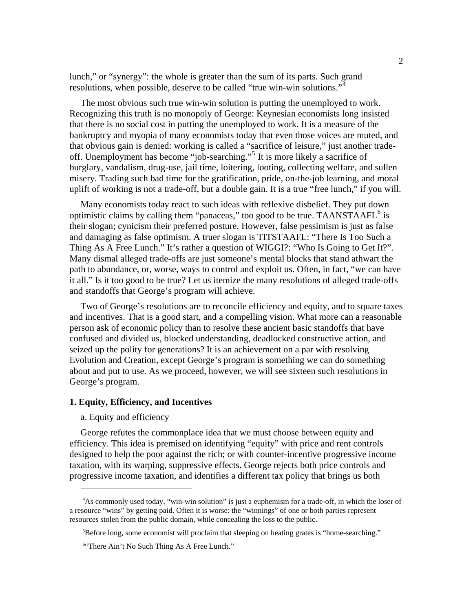lunch," or "synergy": the whole is greater than the sum of its parts. Such grand resolutions, when possible, deserve to be called "true win-win solutions."<sup>[4](#page-1-0)</sup>

The most obvious such true win-win solution is putting the unemployed to work. Recognizing this truth is no monopoly of George: Keynesian economists long insisted that there is no social cost in putting the unemployed to work. It is a measure of the bankruptcy and myopia of many economists today that even those voices are muted, and that obvious gain is denied: working is called a "sacrifice of leisure," just another tradeoff. Unemployment has become "job-searching."[5](#page-1-1) It is more likely a sacrifice of burglary, vandalism, drug-use, jail time, loitering, looting, collecting welfare, and sullen misery. Trading such bad time for the gratification, pride, on-the-job learning, and moral uplift of working is not a trade-off, but a double gain. It is a true "free lunch," if you will.

Many economists today react to such ideas with reflexive disbelief. They put down optimistic claims by calling them "panaceas," too good to be true. TAANSTAAFL $<sup>6</sup>$  $<sup>6</sup>$  $<sup>6</sup>$  is</sup> their slogan; cynicism their preferred posture. However, false pessimism is just as false and damaging as false optimism. A truer slogan is TITSTAAFL: "There Is Too Such a Thing As A Free Lunch." It's rather a question of WIGGI?: "Who Is Going to Get It?". Many dismal alleged trade-offs are just someone's mental blocks that stand athwart the path to abundance, or, worse, ways to control and exploit us. Often, in fact, "we can have it all." Is it too good to be true? Let us itemize the many resolutions of alleged trade-offs and standoffs that George's program will achieve.

Two of George's resolutions are to reconcile efficiency and equity, and to square taxes and incentives. That is a good start, and a compelling vision. What more can a reasonable person ask of economic policy than to resolve these ancient basic standoffs that have confused and divided us, blocked understanding, deadlocked constructive action, and seized up the polity for generations? It is an achievement on a par with resolving Evolution and Creation, except George's program is something we can do something about and put to use. As we proceed, however, we will see sixteen such resolutions in George's program.

# **1. Equity, Efficiency, and Incentives**

### a. Equity and efficiency

 $\overline{a}$ 

George refutes the commonplace idea that we must choose between equity and efficiency. This idea is premised on identifying "equity" with price and rent controls designed to help the poor against the rich; or with counter-incentive progressive income taxation, with its warping, suppressive effects. George rejects both price controls and progressive income taxation, and identifies a different tax policy that brings us both

<span id="page-1-1"></span><span id="page-1-0"></span><sup>4</sup> As commonly used today, "win-win solution" is just a euphemism for a trade-off, in which the loser of a resource "wins" by getting paid. Often it is worse: the "winnings" of one or both parties represent resources stolen from the public domain, while concealing the loss to the public.

<sup>&</sup>lt;sup>5</sup>Before long, some economist will proclaim that sleeping on heating grates is "home-searching."

<span id="page-1-2"></span><sup>6</sup> "There Ain't No Such Thing As A Free Lunch."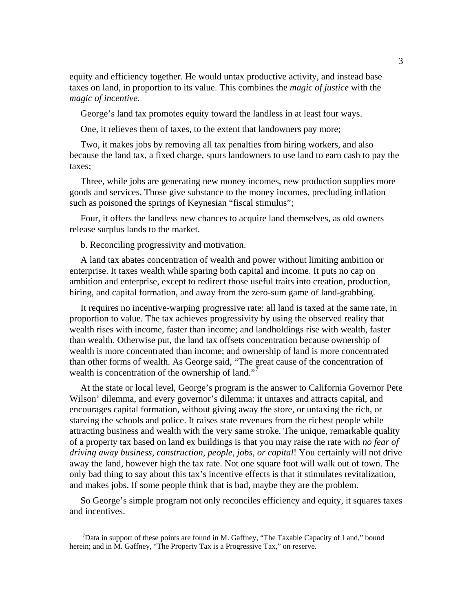equity and efficiency together. He would untax productive activity, and instead base taxes on land, in proportion to its value. This combines the *magic of justice* with the *magic of incentive*.

George's land tax promotes equity toward the landless in at least four ways.

One, it relieves them of taxes, to the extent that landowners pay more;

Two, it makes jobs by removing all tax penalties from hiring workers, and also because the land tax, a fixed charge, spurs landowners to use land to earn cash to pay the taxes;

Three, while jobs are generating new money incomes, new production supplies more goods and services. Those give substance to the money incomes, precluding inflation such as poisoned the springs of Keynesian "fiscal stimulus";

Four, it offers the landless new chances to acquire land themselves, as old owners release surplus lands to the market.

b. Reconciling progressivity and motivation.

 $\overline{a}$ 

A land tax abates concentration of wealth and power without limiting ambition or enterprise. It taxes wealth while sparing both capital and income. It puts no cap on ambition and enterprise, except to redirect those useful traits into creation, production, hiring, and capital formation, and away from the zero-sum game of land-grabbing.

It requires no incentive-warping progressive rate: all land is taxed at the same rate, in proportion to value. The tax achieves progressivity by using the observed reality that wealth rises with income, faster than income; and landholdings rise with wealth, faster than wealth. Otherwise put, the land tax offsets concentration because ownership of wealth is more concentrated than income; and ownership of land is more concentrated than other forms of wealth. As George said, "The great cause of the concentration of wealth is concentration of the ownership of land."<sup>[7](#page-2-0)</sup>

At the state or local level, George's program is the answer to California Governor Pete Wilson' dilemma, and every governor's dilemma: it untaxes and attracts capital, and encourages capital formation, without giving away the store, or untaxing the rich, or starving the schools and police. It raises state revenues from the richest people while attracting business and wealth with the very same stroke. The unique, remarkable quality of a property tax based on land ex buildings is that you may raise the rate with *no fear of driving away business, construction, people, jobs, or capital*! You certainly will not drive away the land, however high the tax rate. Not one square foot will walk out of town. The only bad thing to say about this tax's incentive effects is that it stimulates revitalization, and makes jobs. If some people think that is bad, maybe they are the problem.

So George's simple program not only reconciles efficiency and equity, it squares taxes and incentives.

<span id="page-2-0"></span><sup>&</sup>lt;sup>7</sup>Data in support of these points are found in M. Gaffney, "The Taxable Capacity of Land," bound herein; and in M. Gaffney, "The Property Tax is a Progressive Tax," on reserve.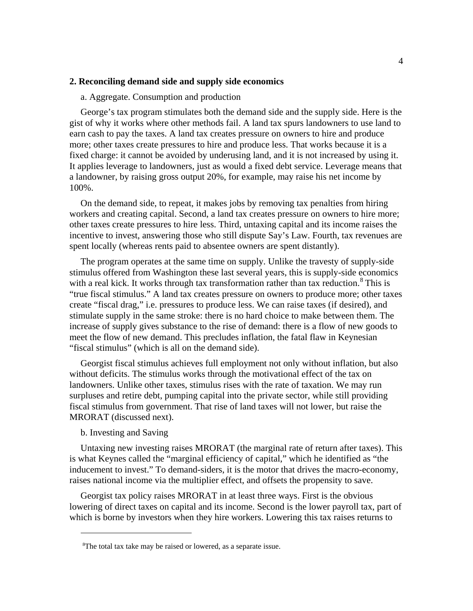# **2. Reconciling demand side and supply side economics**

# a. Aggregate. Consumption and production

George's tax program stimulates both the demand side and the supply side. Here is the gist of why it works where other methods fail. A land tax spurs landowners to use land to earn cash to pay the taxes. A land tax creates pressure on owners to hire and produce more; other taxes create pressures to hire and produce less. That works because it is a fixed charge: it cannot be avoided by underusing land, and it is not increased by using it. It applies leverage to landowners, just as would a fixed debt service. Leverage means that a landowner, by raising gross output 20%, for example, may raise his net income by 100%.

On the demand side, to repeat, it makes jobs by removing tax penalties from hiring workers and creating capital. Second, a land tax creates pressure on owners to hire more; other taxes create pressures to hire less. Third, untaxing capital and its income raises the incentive to invest, answering those who still dispute Say's Law. Fourth, tax revenues are spent locally (whereas rents paid to absentee owners are spent distantly).

The program operates at the same time on supply. Unlike the travesty of supply-side stimulus offered from Washington these last several years, this is supply-side economics with a real kick. It works through tax transformation rather than tax reduction. $8$  This is "true fiscal stimulus." A land tax creates pressure on owners to produce more; other taxes create "fiscal drag," i.e. pressures to produce less. We can raise taxes (if desired), and stimulate supply in the same stroke: there is no hard choice to make between them. The increase of supply gives substance to the rise of demand: there is a flow of new goods to meet the flow of new demand. This precludes inflation, the fatal flaw in Keynesian "fiscal stimulus" (which is all on the demand side).

Georgist fiscal stimulus achieves full employment not only without inflation, but also without deficits. The stimulus works through the motivational effect of the tax on landowners. Unlike other taxes, stimulus rises with the rate of taxation. We may run surpluses and retire debt, pumping capital into the private sector, while still providing fiscal stimulus from government. That rise of land taxes will not lower, but raise the MRORAT (discussed next).

# b. Investing and Saving

 $\overline{a}$ 

Untaxing new investing raises MRORAT (the marginal rate of return after taxes). This is what Keynes called the "marginal efficiency of capital," which he identified as "the inducement to invest." To demand-siders, it is the motor that drives the macro-economy, raises national income via the multiplier effect, and offsets the propensity to save.

Georgist tax policy raises MRORAT in at least three ways. First is the obvious lowering of direct taxes on capital and its income. Second is the lower payroll tax, part of which is borne by investors when they hire workers. Lowering this tax raises returns to

<span id="page-3-0"></span><sup>&</sup>lt;sup>8</sup>The total tax take may be raised or lowered, as a separate issue.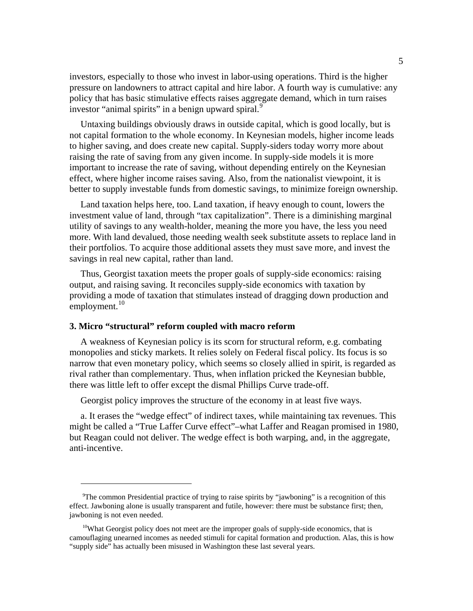investors, especially to those who invest in labor-using operations. Third is the higher pressure on landowners to attract capital and hire labor. A fourth way is cumulative: any policy that has basic stimulative effects raises aggregate demand, which in turn raises investor "animal spirits" in a benign upward spiral.<sup>[9](#page-4-0)</sup>

Untaxing buildings obviously draws in outside capital, which is good locally, but is not capital formation to the whole economy. In Keynesian models, higher income leads to higher saving, and does create new capital. Supply-siders today worry more about raising the rate of saving from any given income. In supply-side models it is more important to increase the rate of saving, without depending entirely on the Keynesian effect, where higher income raises saving. Also, from the nationalist viewpoint, it is better to supply investable funds from domestic savings, to minimize foreign ownership.

Land taxation helps here, too. Land taxation, if heavy enough to count, lowers the investment value of land, through "tax capitalization". There is a diminishing marginal utility of savings to any wealth-holder, meaning the more you have, the less you need more. With land devalued, those needing wealth seek substitute assets to replace land in their portfolios. To acquire those additional assets they must save more, and invest the savings in real new capital, rather than land.

Thus, Georgist taxation meets the proper goals of supply-side economics: raising output, and raising saving. It reconciles supply-side economics with taxation by providing a mode of taxation that stimulates instead of dragging down production and employment. $10$ 

# **3. Micro "structural" reform coupled with macro reform**

 $\overline{a}$ 

A weakness of Keynesian policy is its scorn for structural reform, e.g. combating monopolies and sticky markets. It relies solely on Federal fiscal policy. Its focus is so narrow that even monetary policy, which seems so closely allied in spirit, is regarded as rival rather than complementary. Thus, when inflation pricked the Keynesian bubble, there was little left to offer except the dismal Phillips Curve trade-off.

Georgist policy improves the structure of the economy in at least five ways.

a. It erases the "wedge effect" of indirect taxes, while maintaining tax revenues. This might be called a "True Laffer Curve effect"–what Laffer and Reagan promised in 1980, but Reagan could not deliver. The wedge effect is both warping, and, in the aggregate, anti-incentive.

<span id="page-4-0"></span><sup>&</sup>lt;sup>9</sup>The common Presidential practice of trying to raise spirits by "jawboning" is a recognition of this effect. Jawboning alone is usually transparent and futile, however: there must be substance first; then, jawboning is not even needed.

<span id="page-4-1"></span> $10$ What Georgist policy does not meet are the improper goals of supply-side economics, that is camouflaging unearned incomes as needed stimuli for capital formation and production. Alas, this is how "supply side" has actually been misused in Washington these last several years.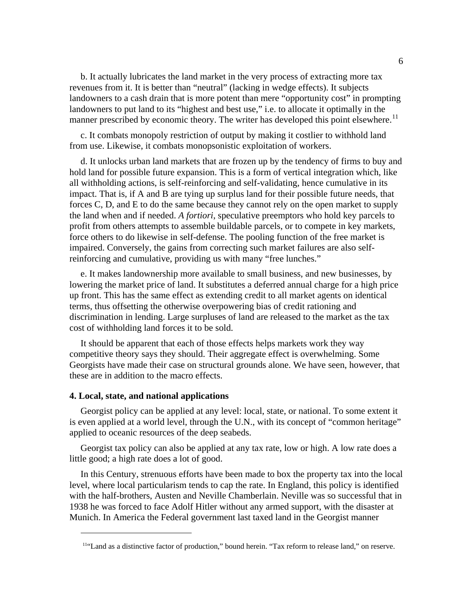b. It actually lubricates the land market in the very process of extracting more tax revenues from it. It is better than "neutral" (lacking in wedge effects). It subjects landowners to a cash drain that is more potent than mere "opportunity cost" in prompting landowners to put land to its "highest and best use," i.e. to allocate it optimally in the manner prescribed by economic theory. The writer has developed this point elsewhere.<sup>[11](#page-5-0)</sup>

c. It combats monopoly restriction of output by making it costlier to withhold land from use. Likewise, it combats monopsonistic exploitation of workers.

d. It unlocks urban land markets that are frozen up by the tendency of firms to buy and hold land for possible future expansion. This is a form of vertical integration which, like all withholding actions, is self-reinforcing and self-validating, hence cumulative in its impact. That is, if A and B are tying up surplus land for their possible future needs, that forces C, D, and E to do the same because they cannot rely on the open market to supply the land when and if needed. *A fortiori*, speculative preemptors who hold key parcels to profit from others attempts to assemble buildable parcels, or to compete in key markets, force others to do likewise in self-defense. The pooling function of the free market is impaired. Conversely, the gains from correcting such market failures are also selfreinforcing and cumulative, providing us with many "free lunches."

e. It makes landownership more available to small business, and new businesses, by lowering the market price of land. It substitutes a deferred annual charge for a high price up front. This has the same effect as extending credit to all market agents on identical terms, thus offsetting the otherwise overpowering bias of credit rationing and discrimination in lending. Large surpluses of land are released to the market as the tax cost of withholding land forces it to be sold.

It should be apparent that each of those effects helps markets work they way competitive theory says they should. Their aggregate effect is overwhelming. Some Georgists have made their case on structural grounds alone. We have seen, however, that these are in addition to the macro effects.

### **4. Local, state, and national applications**

 $\overline{a}$ 

Georgist policy can be applied at any level: local, state, or national. To some extent it is even applied at a world level, through the U.N., with its concept of "common heritage" applied to oceanic resources of the deep seabeds.

Georgist tax policy can also be applied at any tax rate, low or high. A low rate does a little good; a high rate does a lot of good.

In this Century, strenuous efforts have been made to box the property tax into the local level, where local particularism tends to cap the rate. In England, this policy is identified with the half-brothers, Austen and Neville Chamberlain. Neville was so successful that in 1938 he was forced to face Adolf Hitler without any armed support, with the disaster at Munich. In America the Federal government last taxed land in the Georgist manner

<span id="page-5-0"></span><sup>11&</sup>quot;Land as a distinctive factor of production," bound herein. "Tax reform to release land," on reserve.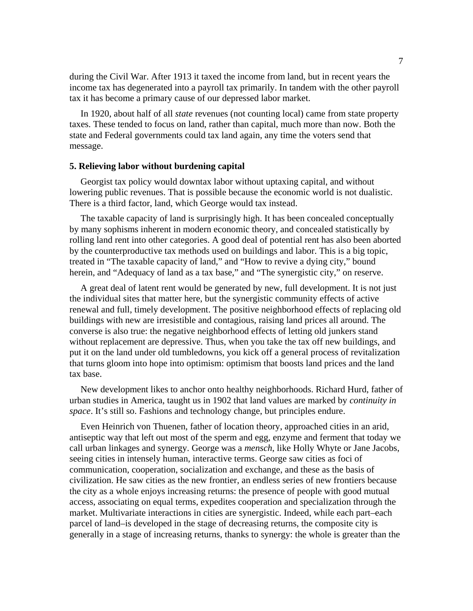during the Civil War. After 1913 it taxed the income from land, but in recent years the income tax has degenerated into a payroll tax primarily. In tandem with the other payroll tax it has become a primary cause of our depressed labor market.

In 1920, about half of all *state* revenues (not counting local) came from state property taxes. These tended to focus on land, rather than capital, much more than now. Both the state and Federal governments could tax land again, any time the voters send that message.

# **5. Relieving labor without burdening capital**

Georgist tax policy would downtax labor without uptaxing capital, and without lowering public revenues. That is possible because the economic world is not dualistic. There is a third factor, land, which George would tax instead.

The taxable capacity of land is surprisingly high. It has been concealed conceptually by many sophisms inherent in modern economic theory, and concealed statistically by rolling land rent into other categories. A good deal of potential rent has also been aborted by the counterproductive tax methods used on buildings and labor. This is a big topic, treated in "The taxable capacity of land," and "How to revive a dying city," bound herein, and "Adequacy of land as a tax base," and "The synergistic city," on reserve.

A great deal of latent rent would be generated by new, full development. It is not just the individual sites that matter here, but the synergistic community effects of active renewal and full, timely development. The positive neighborhood effects of replacing old buildings with new are irresistible and contagious, raising land prices all around. The converse is also true: the negative neighborhood effects of letting old junkers stand without replacement are depressive. Thus, when you take the tax off new buildings, and put it on the land under old tumbledowns, you kick off a general process of revitalization that turns gloom into hope into optimism: optimism that boosts land prices and the land tax base.

New development likes to anchor onto healthy neighborhoods. Richard Hurd, father of urban studies in America, taught us in 1902 that land values are marked by *continuity in space*. It's still so. Fashions and technology change, but principles endure.

Even Heinrich von Thuenen, father of location theory, approached cities in an arid, antiseptic way that left out most of the sperm and egg, enzyme and ferment that today we call urban linkages and synergy. George was a *mensch*, like Holly Whyte or Jane Jacobs, seeing cities in intensely human, interactive terms. George saw cities as foci of communication, cooperation, socialization and exchange, and these as the basis of civilization. He saw cities as the new frontier, an endless series of new frontiers because the city as a whole enjoys increasing returns: the presence of people with good mutual access, associating on equal terms, expedites cooperation and specialization through the market. Multivariate interactions in cities are synergistic. Indeed, while each part–each parcel of land–is developed in the stage of decreasing returns, the composite city is generally in a stage of increasing returns, thanks to synergy: the whole is greater than the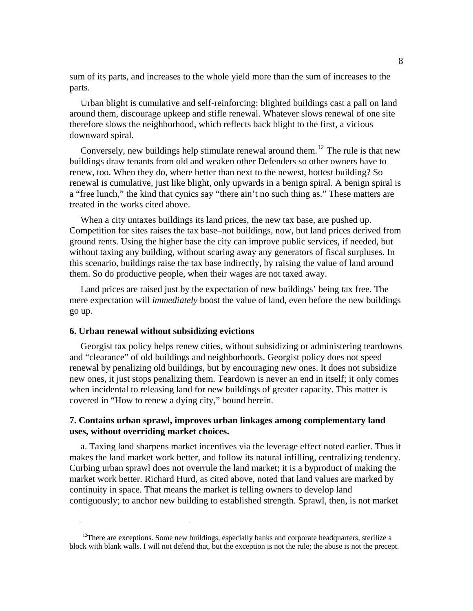sum of its parts, and increases to the whole yield more than the sum of increases to the parts.

Urban blight is cumulative and self-reinforcing: blighted buildings cast a pall on land around them, discourage upkeep and stifle renewal. Whatever slows renewal of one site therefore slows the neighborhood, which reflects back blight to the first, a vicious downward spiral.

Conversely, new buildings help stimulate renewal around them.<sup>[12](#page-7-0)</sup> The rule is that new buildings draw tenants from old and weaken other Defenders so other owners have to renew, too. When they do, where better than next to the newest, hottest building? So renewal is cumulative, just like blight, only upwards in a benign spiral. A benign spiral is a "free lunch," the kind that cynics say "there ain't no such thing as." These matters are treated in the works cited above.

When a city untaxes buildings its land prices, the new tax base, are pushed up. Competition for sites raises the tax base–not buildings, now, but land prices derived from ground rents. Using the higher base the city can improve public services, if needed, but without taxing any building, without scaring away any generators of fiscal surpluses. In this scenario, buildings raise the tax base indirectly, by raising the value of land around them. So do productive people, when their wages are not taxed away.

Land prices are raised just by the expectation of new buildings' being tax free. The mere expectation will *immediately* boost the value of land, even before the new buildings go up.

### **6. Urban renewal without subsidizing evictions**

 $\overline{a}$ 

Georgist tax policy helps renew cities, without subsidizing or administering teardowns and "clearance" of old buildings and neighborhoods. Georgist policy does not speed renewal by penalizing old buildings, but by encouraging new ones. It does not subsidize new ones, it just stops penalizing them. Teardown is never an end in itself; it only comes when incidental to releasing land for new buildings of greater capacity. This matter is covered in "How to renew a dying city," bound herein.

# **7. Contains urban sprawl, improves urban linkages among complementary land uses, without overriding market choices.**

a. Taxing land sharpens market incentives via the leverage effect noted earlier. Thus it makes the land market work better, and follow its natural infilling, centralizing tendency. Curbing urban sprawl does not overrule the land market; it is a byproduct of making the market work better. Richard Hurd, as cited above, noted that land values are marked by continuity in space. That means the market is telling owners to develop land contiguously; to anchor new building to established strength. Sprawl, then, is not market

<span id="page-7-0"></span> $12$ There are exceptions. Some new buildings, especially banks and corporate headquarters, sterilize a block with blank walls. I will not defend that, but the exception is not the rule; the abuse is not the precept.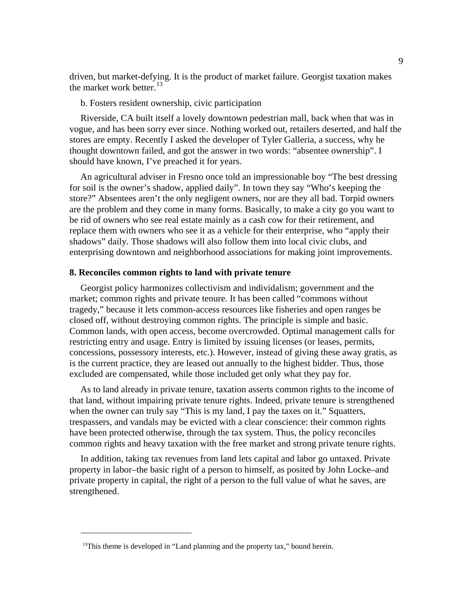driven, but market-defying. It is the product of market failure. Georgist taxation makes the market work better.  $13$ 

b. Fosters resident ownership, civic participation

Riverside, CA built itself a lovely downtown pedestrian mall, back when that was in vogue, and has been sorry ever since. Nothing worked out, retailers deserted, and half the stores are empty. Recently I asked the developer of Tyler Galleria, a success, why he thought downtown failed, and got the answer in two words: "absentee ownership". I should have known, I've preached it for years.

An agricultural adviser in Fresno once told an impressionable boy "The best dressing for soil is the owner's shadow, applied daily". In town they say "Who's keeping the store?" Absentees aren't the only negligent owners, nor are they all bad. Torpid owners are the problem and they come in many forms. Basically, to make a city go you want to be rid of owners who see real estate mainly as a cash cow for their retirement, and replace them with owners who see it as a vehicle for their enterprise, who "apply their shadows" daily. Those shadows will also follow them into local civic clubs, and enterprising downtown and neighborhood associations for making joint improvements.

### **8. Reconciles common rights to land with private tenure**

Georgist policy harmonizes collectivism and individalism; government and the market; common rights and private tenure. It has been called "commons without tragedy," because it lets common-access resources like fisheries and open ranges be closed off, without destroying common rights. The principle is simple and basic. Common lands, with open access, become overcrowded. Optimal management calls for restricting entry and usage. Entry is limited by issuing licenses (or leases, permits, concessions, possessory interests, etc.). However, instead of giving these away gratis, as is the current practice, they are leased out annually to the highest bidder. Thus, those excluded are compensated, while those included get only what they pay for.

As to land already in private tenure, taxation asserts common rights to the income of that land, without impairing private tenure rights. Indeed, private tenure is strengthened when the owner can truly say "This is my land, I pay the taxes on it." Squatters, trespassers, and vandals may be evicted with a clear conscience: their common rights have been protected otherwise, through the tax system. Thus, the policy reconciles common rights and heavy taxation with the free market and strong private tenure rights.

In addition, taking tax revenues from land lets capital and labor go untaxed. Private property in labor–the basic right of a person to himself, as posited by John Locke–and private property in capital, the right of a person to the full value of what he saves, are strengthened.

 $\overline{a}$ 

<span id="page-8-0"></span><sup>&</sup>lt;sup>13</sup>This theme is developed in "Land planning and the property tax," bound herein.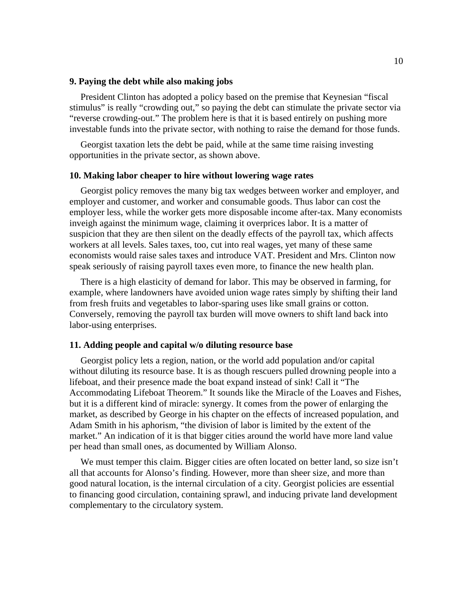# **9. Paying the debt while also making jobs**

President Clinton has adopted a policy based on the premise that Keynesian "fiscal stimulus" is really "crowding out," so paying the debt can stimulate the private sector via "reverse crowding-out." The problem here is that it is based entirely on pushing more investable funds into the private sector, with nothing to raise the demand for those funds.

Georgist taxation lets the debt be paid, while at the same time raising investing opportunities in the private sector, as shown above.

### **10. Making labor cheaper to hire without lowering wage rates**

Georgist policy removes the many big tax wedges between worker and employer, and employer and customer, and worker and consumable goods. Thus labor can cost the employer less, while the worker gets more disposable income after-tax. Many economists inveigh against the minimum wage, claiming it overprices labor. It is a matter of suspicion that they are then silent on the deadly effects of the payroll tax, which affects workers at all levels. Sales taxes, too, cut into real wages, yet many of these same economists would raise sales taxes and introduce VAT. President and Mrs. Clinton now speak seriously of raising payroll taxes even more, to finance the new health plan.

There is a high elasticity of demand for labor. This may be observed in farming, for example, where landowners have avoided union wage rates simply by shifting their land from fresh fruits and vegetables to labor-sparing uses like small grains or cotton. Conversely, removing the payroll tax burden will move owners to shift land back into labor-using enterprises.

# **11. Adding people and capital w/o diluting resource base**

Georgist policy lets a region, nation, or the world add population and/or capital without diluting its resource base. It is as though rescuers pulled drowning people into a lifeboat, and their presence made the boat expand instead of sink! Call it "The Accommodating Lifeboat Theorem." It sounds like the Miracle of the Loaves and Fishes, but it is a different kind of miracle: synergy. It comes from the power of enlarging the market, as described by George in his chapter on the effects of increased population, and Adam Smith in his aphorism, "the division of labor is limited by the extent of the market." An indication of it is that bigger cities around the world have more land value per head than small ones, as documented by William Alonso.

We must temper this claim. Bigger cities are often located on better land, so size isn't all that accounts for Alonso's finding. However, more than sheer size, and more than good natural location, is the internal circulation of a city. Georgist policies are essential to financing good circulation, containing sprawl, and inducing private land development complementary to the circulatory system.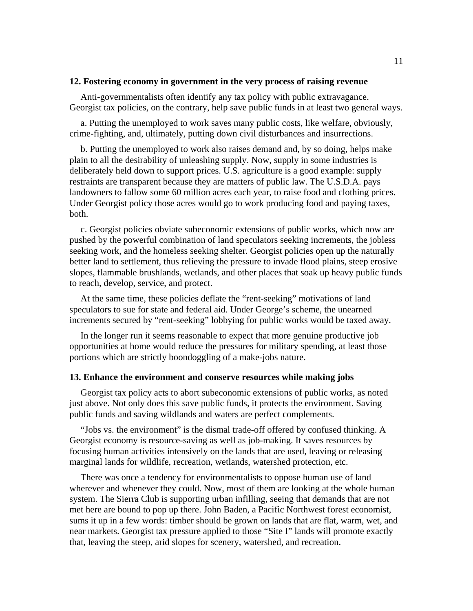# **12. Fostering economy in government in the very process of raising revenue**

Anti-governmentalists often identify any tax policy with public extravagance. Georgist tax policies, on the contrary, help save public funds in at least two general ways.

a. Putting the unemployed to work saves many public costs, like welfare, obviously, crime-fighting, and, ultimately, putting down civil disturbances and insurrections.

b. Putting the unemployed to work also raises demand and, by so doing, helps make plain to all the desirability of unleashing supply. Now, supply in some industries is deliberately held down to support prices. U.S. agriculture is a good example: supply restraints are transparent because they are matters of public law. The U.S.D.A. pays landowners to fallow some 60 million acres each year, to raise food and clothing prices. Under Georgist policy those acres would go to work producing food and paying taxes, both.

c. Georgist policies obviate subeconomic extensions of public works, which now are pushed by the powerful combination of land speculators seeking increments, the jobless seeking work, and the homeless seeking shelter. Georgist policies open up the naturally better land to settlement, thus relieving the pressure to invade flood plains, steep erosive slopes, flammable brushlands, wetlands, and other places that soak up heavy public funds to reach, develop, service, and protect.

At the same time, these policies deflate the "rent-seeking" motivations of land speculators to sue for state and federal aid. Under George's scheme, the unearned increments secured by "rent-seeking" lobbying for public works would be taxed away.

In the longer run it seems reasonable to expect that more genuine productive job opportunities at home would reduce the pressures for military spending, at least those portions which are strictly boondoggling of a make-jobs nature.

# **13. Enhance the environment and conserve resources while making jobs**

Georgist tax policy acts to abort subeconomic extensions of public works, as noted just above. Not only does this save public funds, it protects the environment. Saving public funds and saving wildlands and waters are perfect complements.

"Jobs vs. the environment" is the dismal trade-off offered by confused thinking. A Georgist economy is resource-saving as well as job-making. It saves resources by focusing human activities intensively on the lands that are used, leaving or releasing marginal lands for wildlife, recreation, wetlands, watershed protection, etc.

There was once a tendency for environmentalists to oppose human use of land wherever and whenever they could. Now, most of them are looking at the whole human system. The Sierra Club is supporting urban infilling, seeing that demands that are not met here are bound to pop up there. John Baden, a Pacific Northwest forest economist, sums it up in a few words: timber should be grown on lands that are flat, warm, wet, and near markets. Georgist tax pressure applied to those "Site I" lands will promote exactly that, leaving the steep, arid slopes for scenery, watershed, and recreation.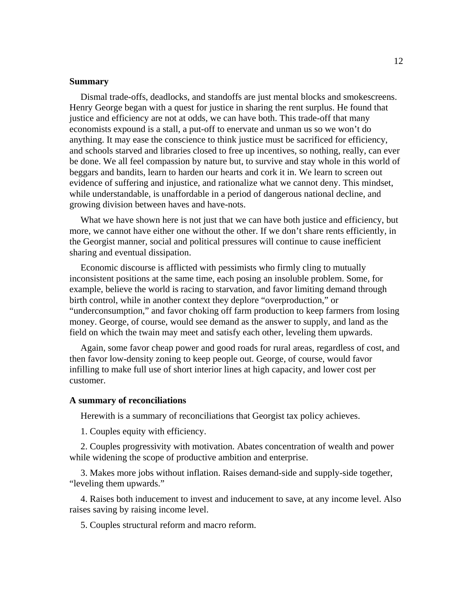#### **Summary**

Dismal trade-offs, deadlocks, and standoffs are just mental blocks and smokescreens. Henry George began with a quest for justice in sharing the rent surplus. He found that justice and efficiency are not at odds, we can have both. This trade-off that many economists expound is a stall, a put-off to enervate and unman us so we won't do anything. It may ease the conscience to think justice must be sacrificed for efficiency, and schools starved and libraries closed to free up incentives, so nothing, really, can ever be done. We all feel compassion by nature but, to survive and stay whole in this world of beggars and bandits, learn to harden our hearts and cork it in. We learn to screen out evidence of suffering and injustice, and rationalize what we cannot deny. This mindset, while understandable, is unaffordable in a period of dangerous national decline, and growing division between haves and have-nots.

What we have shown here is not just that we can have both justice and efficiency, but more, we cannot have either one without the other. If we don't share rents efficiently, in the Georgist manner, social and political pressures will continue to cause inefficient sharing and eventual dissipation.

Economic discourse is afflicted with pessimists who firmly cling to mutually inconsistent positions at the same time, each posing an insoluble problem. Some, for example, believe the world is racing to starvation, and favor limiting demand through birth control, while in another context they deplore "overproduction," or "underconsumption," and favor choking off farm production to keep farmers from losing money. George, of course, would see demand as the answer to supply, and land as the field on which the twain may meet and satisfy each other, leveling them upwards.

Again, some favor cheap power and good roads for rural areas, regardless of cost, and then favor low-density zoning to keep people out. George, of course, would favor infilling to make full use of short interior lines at high capacity, and lower cost per customer.

### **A summary of reconciliations**

Herewith is a summary of reconciliations that Georgist tax policy achieves.

1. Couples equity with efficiency.

2. Couples progressivity with motivation. Abates concentration of wealth and power while widening the scope of productive ambition and enterprise.

3. Makes more jobs without inflation. Raises demand-side and supply-side together, "leveling them upwards."

4. Raises both inducement to invest and inducement to save, at any income level. Also raises saving by raising income level.

5. Couples structural reform and macro reform.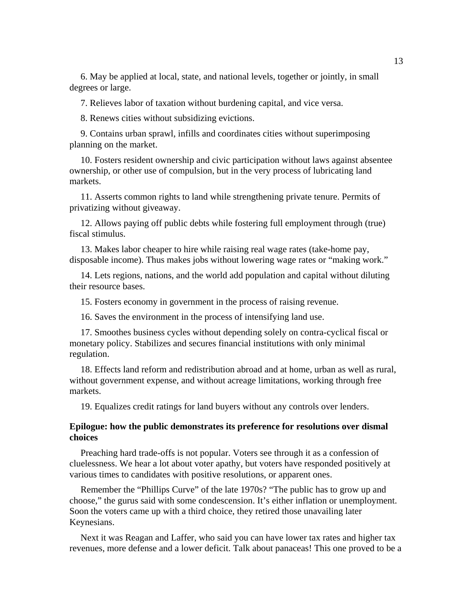6. May be applied at local, state, and national levels, together or jointly, in small degrees or large.

7. Relieves labor of taxation without burdening capital, and vice versa.

8. Renews cities without subsidizing evictions.

9. Contains urban sprawl, infills and coordinates cities without superimposing planning on the market.

10. Fosters resident ownership and civic participation without laws against absentee ownership, or other use of compulsion, but in the very process of lubricating land markets.

11. Asserts common rights to land while strengthening private tenure. Permits of privatizing without giveaway.

12. Allows paying off public debts while fostering full employment through (true) fiscal stimulus.

13. Makes labor cheaper to hire while raising real wage rates (take-home pay, disposable income). Thus makes jobs without lowering wage rates or "making work."

14. Lets regions, nations, and the world add population and capital without diluting their resource bases.

15. Fosters economy in government in the process of raising revenue.

16. Saves the environment in the process of intensifying land use.

17. Smoothes business cycles without depending solely on contra-cyclical fiscal or monetary policy. Stabilizes and secures financial institutions with only minimal regulation.

18. Effects land reform and redistribution abroad and at home, urban as well as rural, without government expense, and without acreage limitations, working through free markets.

19. Equalizes credit ratings for land buyers without any controls over lenders.

# **Epilogue: how the public demonstrates its preference for resolutions over dismal choices**

Preaching hard trade-offs is not popular. Voters see through it as a confession of cluelessness. We hear a lot about voter apathy, but voters have responded positively at various times to candidates with positive resolutions, or apparent ones.

Remember the "Phillips Curve" of the late 1970s? "The public has to grow up and choose," the gurus said with some condescension. It's either inflation or unemployment. Soon the voters came up with a third choice, they retired those unavailing later Keynesians.

Next it was Reagan and Laffer, who said you can have lower tax rates and higher tax revenues, more defense and a lower deficit. Talk about panaceas! This one proved to be a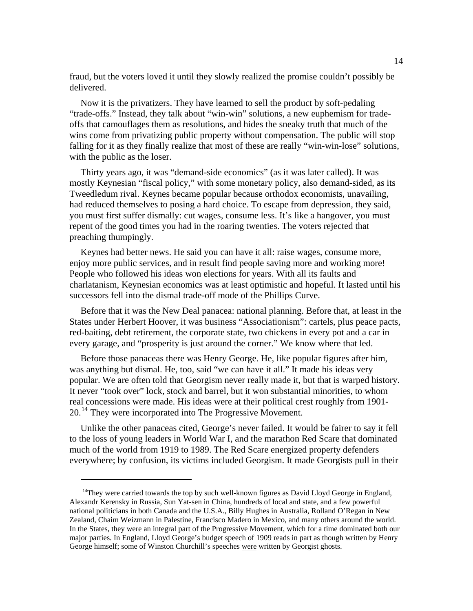fraud, but the voters loved it until they slowly realized the promise couldn't possibly be delivered.

Now it is the privatizers. They have learned to sell the product by soft-pedaling "trade-offs." Instead, they talk about "win-win" solutions, a new euphemism for tradeoffs that camouflages them as resolutions, and hides the sneaky truth that much of the wins come from privatizing public property without compensation. The public will stop falling for it as they finally realize that most of these are really "win-win-lose" solutions, with the public as the loser.

Thirty years ago, it was "demand-side economics" (as it was later called). It was mostly Keynesian "fiscal policy," with some monetary policy, also demand-sided, as its Tweedledum rival. Keynes became popular because orthodox economists, unavailing, had reduced themselves to posing a hard choice. To escape from depression, they said, you must first suffer dismally: cut wages, consume less. It's like a hangover, you must repent of the good times you had in the roaring twenties. The voters rejected that preaching thumpingly.

Keynes had better news. He said you can have it all: raise wages, consume more, enjoy more public services, and in result find people saving more and working more! People who followed his ideas won elections for years. With all its faults and charlatanism, Keynesian economics was at least optimistic and hopeful. It lasted until his successors fell into the dismal trade-off mode of the Phillips Curve.

Before that it was the New Deal panacea: national planning. Before that, at least in the States under Herbert Hoover, it was business "Associationism": cartels, plus peace pacts, red-baiting, debt retirement, the corporate state, two chickens in every pot and a car in every garage, and "prosperity is just around the corner." We know where that led.

Before those panaceas there was Henry George. He, like popular figures after him, was anything but dismal. He, too, said "we can have it all." It made his ideas very popular. We are often told that Georgism never really made it, but that is warped history. It never "took over" lock, stock and barrel, but it won substantial minorities, to whom real concessions were made. His ideas were at their political crest roughly from 1901- 20.[14](#page-13-0) They were incorporated into The Progressive Movement.

Unlike the other panaceas cited, George's never failed. It would be fairer to say it fell to the loss of young leaders in World War I, and the marathon Red Scare that dominated much of the world from 1919 to 1989. The Red Scare energized property defenders everywhere; by confusion, its victims included Georgism. It made Georgists pull in their

 $\overline{a}$ 

<span id="page-13-0"></span> $14$ They were carried towards the top by such well-known figures as David Lloyd George in England, Alexandr Kerensky in Russia, Sun Yat-sen in China, hundreds of local and state, and a few powerful national politicians in both Canada and the U.S.A., Billy Hughes in Australia, Rolland O'Regan in New Zealand, Chaim Weizmann in Palestine, Francisco Madero in Mexico, and many others around the world. In the States, they were an integral part of the Progressive Movement, which for a time dominated both our major parties. In England, Lloyd George's budget speech of 1909 reads in part as though written by Henry George himself; some of Winston Churchill's speeches were written by Georgist ghosts.